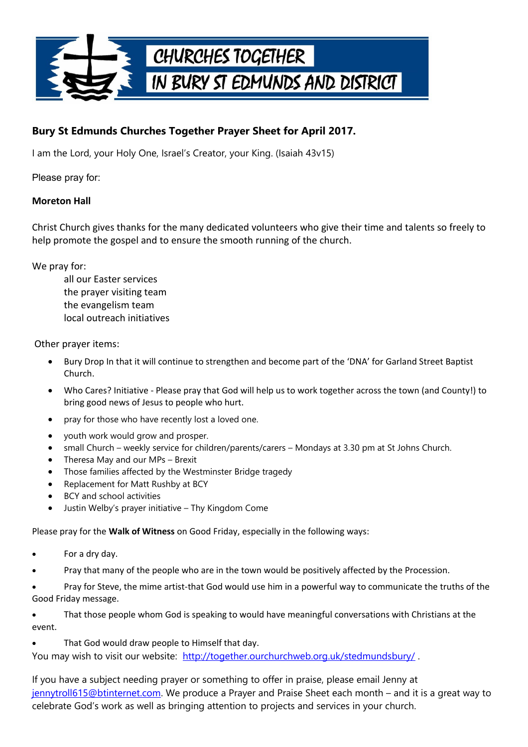

## **Bury St Edmunds Churches Together Prayer Sheet for April 2017.**

I am the Lord, your Holy One, Israel's Creator, your King. (Isaiah 43v15)

Please pray for:

## **Moreton Hall**

Christ Church gives thanks for the many dedicated volunteers who give their time and talents so freely to help promote the gospel and to ensure the smooth running of the church.

We pray for:

all our Easter services the prayer visiting team the evangelism team local outreach initiatives

Other prayer items:

- Bury Drop In that it will continue to strengthen and become part of the 'DNA' for Garland Street Baptist Church.
- Who Cares? Initiative Please pray that God will help us to work together across the town (and County!) to bring good news of Jesus to people who hurt.
- pray for those who have recently lost a loved one.
- youth work would grow and prosper.
- small Church weekly service for children/parents/carers Mondays at 3.30 pm at St Johns Church.
- Theresa May and our MPs Brexit
- Those families affected by the Westminster Bridge tragedy
- Replacement for Matt Rushby at BCY
- BCY and school activities
- Justin Welby's prayer initiative Thy Kingdom Come

Please pray for the **Walk of Witness** on Good Friday, especially in the following ways:

- For a dry day.
- Pray that many of the people who are in the town would be positively affected by the Procession.
- Pray for Steve, the mime artist-that God would use him in a powerful way to communicate the truths of the Good Friday message.

 That those people whom God is speaking to would have meaningful conversations with Christians at the event.

That God would draw people to Himself that day.

You may wish to visit our website: <http://together.ourchurchweb.org.uk/stedmundsbury/>.

If you have a subject needing prayer or something to offer in praise, please email Jenny at [jennytroll615@btinternet.com.](mailto:jennytroll615@btinternet.com) We produce a Prayer and Praise Sheet each month – and it is a great way to celebrate God's work as well as bringing attention to projects and services in your church.